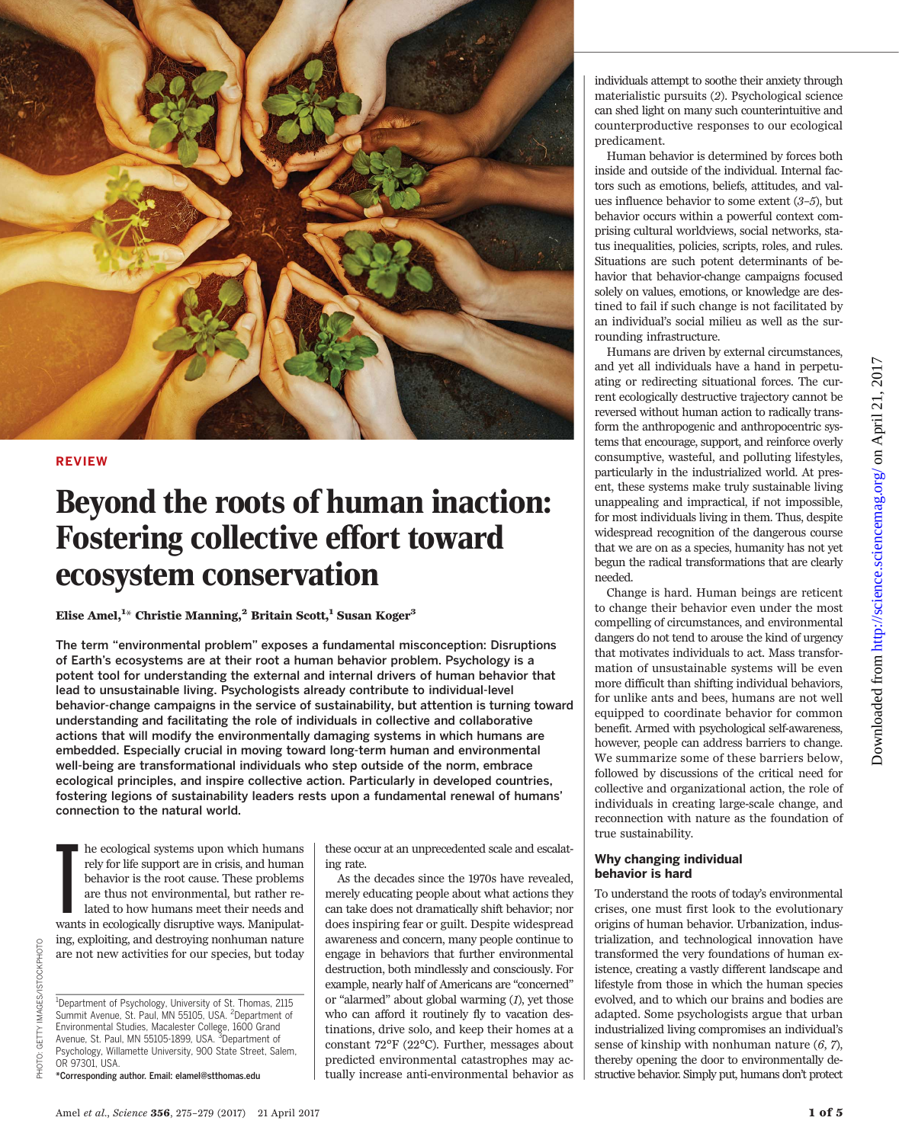

### REVIEW

# Beyond the roots of human inaction: Fostering collective effort toward ecosystem conservation

Elise Amel, $1*$  Christie Manning, $2$  Britain Scott, $1$  Susan Koger $3$ 

The term "environmental problem" exposes a fundamental misconception: Disruptions of Earth's ecosystems are at their root a human behavior problem. Psychology is a potent tool for understanding the external and internal drivers of human behavior that lead to unsustainable living. Psychologists already contribute to individual-level behavior-change campaigns in the service of sustainability, but attention is turning toward understanding and facilitating the role of individuals in collective and collaborative actions that will modify the environmentally damaging systems in which humans are embedded. Especially crucial in moving toward long-term human and environmental well-being are transformational individuals who step outside of the norm, embrace ecological principles, and inspire collective action. Particularly in developed countries, fostering legions of sustainability leaders rests upon a fundamental renewal of humans' connection to the natural world.

In the ecological systems upon which humans<br>rely for life support are in crisis, and human<br>behavior is the root cause. These problems<br>are thus not environmental, but rather re-<br>lated to how humans meet their needs and<br>want he ecological systems upon which humans rely for life support are in crisis, and human behavior is the root cause. These problems are thus not environmental, but rather related to how humans meet their needs and ing, exploiting, and destroying nonhuman nature are not new activities for our species, but today

<sup>1</sup>Department of Psychology, University of St. Thomas, 2115 Summit Avenue, St. Paul, MN 55105, USA. <sup>2</sup>Department of Environmental Studies, Macalester College, 1600 Grand Avenue, St. Paul, MN 55105-1899, USA. <sup>3</sup>Department of Psychology, Willamette University, 900 State Street, Salem, OR 97301, USA.

\*Corresponding author. Email: elamel@stthomas.edu

these occur at an unprecedented scale and escalating rate.

As the decades since the 1970s have revealed, merely educating people about what actions they can take does not dramatically shift behavior; nor does inspiring fear or guilt. Despite widespread awareness and concern, many people continue to engage in behaviors that further environmental destruction, both mindlessly and consciously. For example, nearly half of Americans are "concerned" or "alarmed" about global warming  $(I)$ , yet those who can afford it routinely fly to vacation destinations, drive solo, and keep their homes at a constant 72°F (22°C). Further, messages about predicted environmental catastrophes may actually increase anti-environmental behavior as

individuals attempt to soothe their anxiety through materialistic pursuits (2). Psychological science can shed light on many such counterintuitive and counterproductive responses to our ecological predicament.

Human behavior is determined by forces both inside and outside of the individual. Internal factors such as emotions, beliefs, attitudes, and values influence behavior to some extent (3–5), but behavior occurs within a powerful context comprising cultural worldviews, social networks, status inequalities, policies, scripts, roles, and rules. Situations are such potent determinants of behavior that behavior-change campaigns focused solely on values, emotions, or knowledge are destined to fail if such change is not facilitated by an individual's social milieu as well as the surrounding infrastructure.

Humans are driven by external circumstances, and yet all individuals have a hand in perpetuating or redirecting situational forces. The current ecologically destructive trajectory cannot be reversed without human action to radically transform the anthropogenic and anthropocentric systems that encourage, support, and reinforce overly consumptive, wasteful, and polluting lifestyles, particularly in the industrialized world. At present, these systems make truly sustainable living unappealing and impractical, if not impossible, for most individuals living in them. Thus, despite widespread recognition of the dangerous course that we are on as a species, humanity has not yet begun the radical transformations that are clearly needed.

Change is hard. Human beings are reticent to change their behavior even under the most compelling of circumstances, and environmental dangers do not tend to arouse the kind of urgency that motivates individuals to act. Mass transformation of unsustainable systems will be even more difficult than shifting individual behaviors, for unlike ants and bees, humans are not well equipped to coordinate behavior for common benefit. Armed with psychological self-awareness, however, people can address barriers to change. We summarize some of these barriers below, followed by discussions of the critical need for collective and organizational action, the role of individuals in creating large-scale change, and reconnection with nature as the foundation of true sustainability.

#### Why changing individual behavior is hard

To understand the roots of today's environmental crises, one must first look to the evolutionary origins of human behavior. Urbanization, industrialization, and technological innovation have transformed the very foundations of human existence, creating a vastly different landscape and lifestyle from those in which the human species evolved, and to which our brains and bodies are adapted. Some psychologists argue that urban industrialized living compromises an individual's sense of kinship with nonhuman nature (6, 7), thereby opening the door to environmentally destructive behavior. Simply put, humans don't protect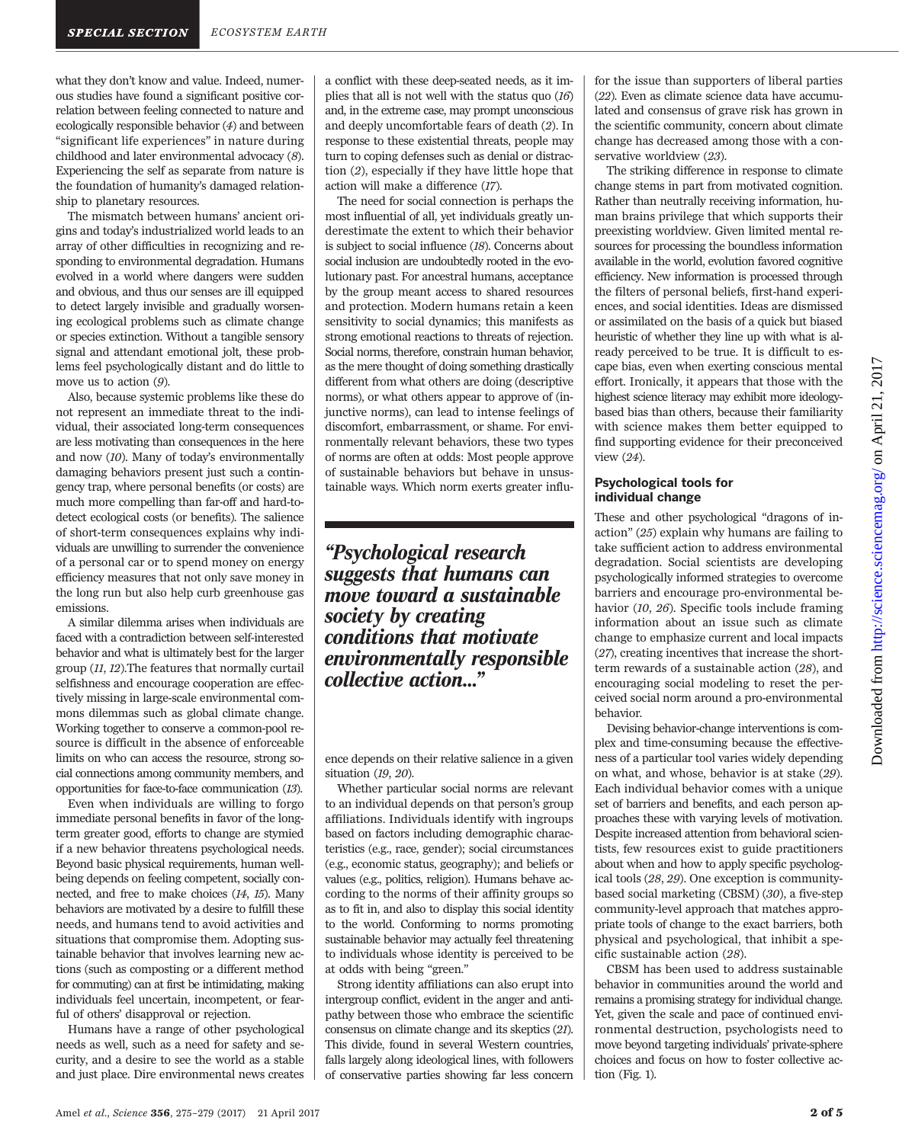what they don't know and value. Indeed, numerous studies have found a significant positive correlation between feeling connected to nature and ecologically responsible behavior (4) and between "significant life experiences" in nature during childhood and later environmental advocacy (8). Experiencing the self as separate from nature is the foundation of humanity's damaged relationship to planetary resources.

The mismatch between humans' ancient origins and today's industrialized world leads to an array of other difficulties in recognizing and responding to environmental degradation. Humans evolved in a world where dangers were sudden and obvious, and thus our senses are ill equipped to detect largely invisible and gradually worsening ecological problems such as climate change or species extinction. Without a tangible sensory signal and attendant emotional jolt, these problems feel psychologically distant and do little to move us to action (9).

Also, because systemic problems like these do not represent an immediate threat to the individual, their associated long-term consequences are less motivating than consequences in the here and now (10). Many of today's environmentally damaging behaviors present just such a contingency trap, where personal benefits (or costs) are much more compelling than far-off and hard-todetect ecological costs (or benefits). The salience of short-term consequences explains why individuals are unwilling to surrender the convenience of a personal car or to spend money on energy efficiency measures that not only save money in the long run but also help curb greenhouse gas emissions.

A similar dilemma arises when individuals are faced with a contradiction between self-interested behavior and what is ultimately best for the larger group (11, 12).The features that normally curtail selfishness and encourage cooperation are effectively missing in large-scale environmental commons dilemmas such as global climate change. Working together to conserve a common-pool resource is difficult in the absence of enforceable limits on who can access the resource, strong social connections among community members, and opportunities for face-to-face communication (13).

Even when individuals are willing to forgo immediate personal benefits in favor of the longterm greater good, efforts to change are stymied if a new behavior threatens psychological needs. Beyond basic physical requirements, human wellbeing depends on feeling competent, socially connected, and free to make choices (14, 15). Many behaviors are motivated by a desire to fulfill these needs, and humans tend to avoid activities and situations that compromise them. Adopting sustainable behavior that involves learning new actions (such as composting or a different method for commuting) can at first be intimidating, making individuals feel uncertain, incompetent, or fearful of others' disapproval or rejection.

Humans have a range of other psychological needs as well, such as a need for safety and security, and a desire to see the world as a stable and just place. Dire environmental news creates a conflict with these deep-seated needs, as it implies that all is not well with the status quo (16) and, in the extreme case, may prompt unconscious and deeply uncomfortable fears of death (2). In response to these existential threats, people may turn to coping defenses such as denial or distraction (2), especially if they have little hope that action will make a difference (17).

The need for social connection is perhaps the most influential of all, yet individuals greatly underestimate the extent to which their behavior is subject to social influence (18). Concerns about social inclusion are undoubtedly rooted in the evolutionary past. For ancestral humans, acceptance by the group meant access to shared resources and protection. Modern humans retain a keen sensitivity to social dynamics; this manifests as strong emotional reactions to threats of rejection. Social norms, therefore, constrain human behavior, as the mere thought of doing something drastically different from what others are doing (descriptive norms), or what others appear to approve of (injunctive norms), can lead to intense feelings of discomfort, embarrassment, or shame. For environmentally relevant behaviors, these two types of norms are often at odds: Most people approve of sustainable behaviors but behave in unsustainable ways. Which norm exerts greater influ-

"Psychological research suggests that humans can move toward a sustainable society by creating conditions that motivate environmentally responsible collective action..."

ence depends on their relative salience in a given situation (19, 20).

Whether particular social norms are relevant to an individual depends on that person's group affiliations. Individuals identify with ingroups based on factors including demographic characteristics (e.g., race, gender); social circumstances (e.g., economic status, geography); and beliefs or values (e.g., politics, religion). Humans behave according to the norms of their affinity groups so as to fit in, and also to display this social identity to the world. Conforming to norms promoting sustainable behavior may actually feel threatening to individuals whose identity is perceived to be at odds with being "green."

Strong identity affiliations can also erupt into intergroup conflict, evident in the anger and antipathy between those who embrace the scientific consensus on climate change and its skeptics (21). This divide, found in several Western countries, falls largely along ideological lines, with followers of conservative parties showing far less concern for the issue than supporters of liberal parties (22). Even as climate science data have accumulated and consensus of grave risk has grown in the scientific community, concern about climate change has decreased among those with a conservative worldview (23).

The striking difference in response to climate change stems in part from motivated cognition. Rather than neutrally receiving information, human brains privilege that which supports their preexisting worldview. Given limited mental resources for processing the boundless information available in the world, evolution favored cognitive efficiency. New information is processed through the filters of personal beliefs, first-hand experiences, and social identities. Ideas are dismissed or assimilated on the basis of a quick but biased heuristic of whether they line up with what is already perceived to be true. It is difficult to escape bias, even when exerting conscious mental effort. Ironically, it appears that those with the highest science literacy may exhibit more ideologybased bias than others, because their familiarity with science makes them better equipped to find supporting evidence for their preconceived view (24).

# Psychological tools for individual change

These and other psychological "dragons of inaction" (25) explain why humans are failing to take sufficient action to address environmental degradation. Social scientists are developing psychologically informed strategies to overcome barriers and encourage pro-environmental behavior (10, 26). Specific tools include framing information about an issue such as climate change to emphasize current and local impacts (27), creating incentives that increase the shortterm rewards of a sustainable action (28), and encouraging social modeling to reset the perceived social norm around a pro-environmental behavior.

Devising behavior-change interventions is complex and time-consuming because the effectiveness of a particular tool varies widely depending on what, and whose, behavior is at stake (29). Each individual behavior comes with a unique set of barriers and benefits, and each person approaches these with varying levels of motivation. Despite increased attention from behavioral scientists, few resources exist to guide practitioners about when and how to apply specific psychological tools (28, 29). One exception is communitybased social marketing (CBSM) (30), a five-step community-level approach that matches appropriate tools of change to the exact barriers, both physical and psychological, that inhibit a specific sustainable action (28).

CBSM has been used to address sustainable behavior in communities around the world and remains a promising strategy for individual change. Yet, given the scale and pace of continued environmental destruction, psychologists need to move beyond targeting individuals' private-sphere choices and focus on how to foster collective action (Fig. 1).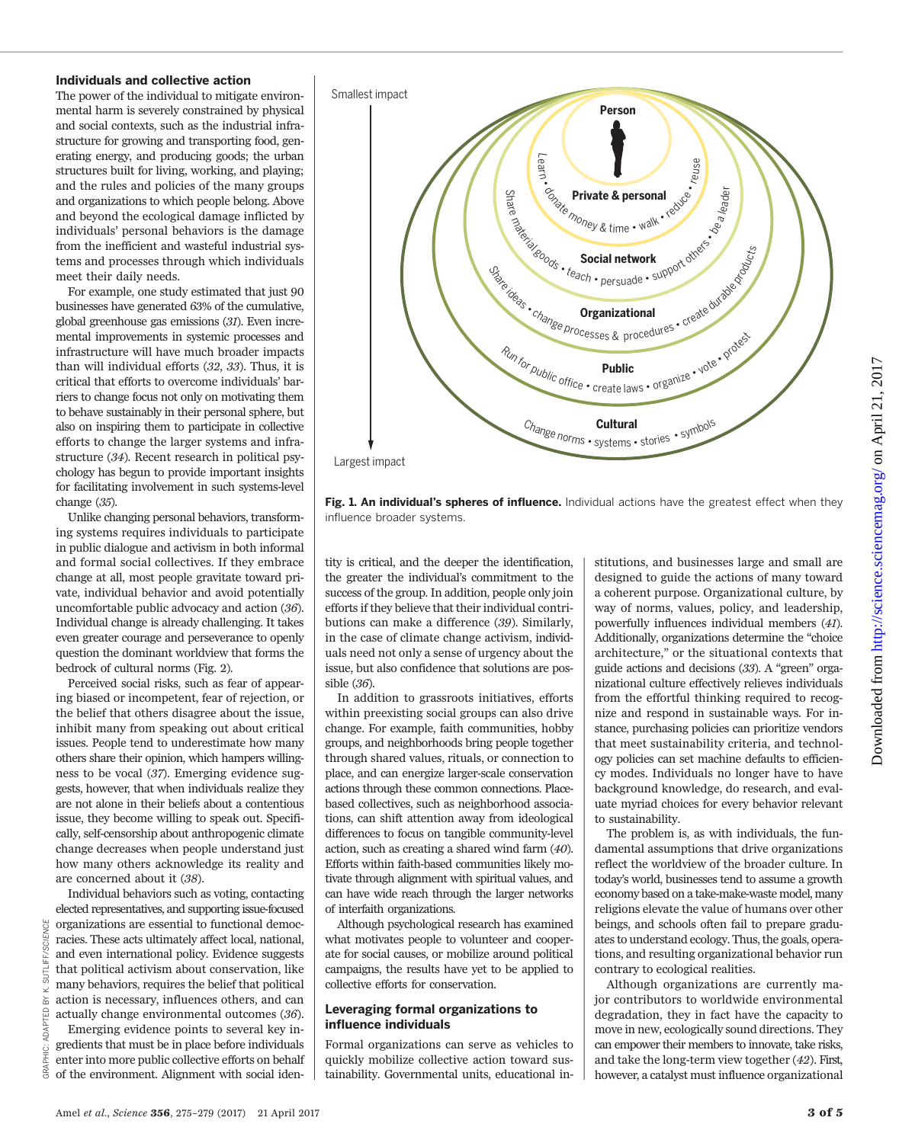#### Individuals and collective action

The power of the individual to mitigate environmental harm is severely constrained by physical and social contexts, such as the industrial infrastructure for growing and transporting food, generating energy, and producing goods; the urban structures built for living, working, and playing; and the rules and policies of the many groups and organizations to which people belong. Above and beyond the ecological damage inflicted by individuals' personal behaviors is the damage from the inefficient and wasteful industrial systems and processes through which individuals meet their daily needs.

For example, one study estimated that just 90 businesses have generated 63% of the cumulative, global greenhouse gas emissions (31). Even incremental improvements in systemic processes and infrastructure will have much broader impacts than will individual efforts (32, 33). Thus, it is critical that efforts to overcome individuals' barriers to change focus not only on motivating them to behave sustainably in their personal sphere, but also on inspiring them to participate in collective efforts to change the larger systems and infrastructure (34). Recent research in political psychology has begun to provide important insights for facilitating involvement in such systems-level change (35).

Unlike changing personal behaviors, transforming systems requires individuals to participate in public dialogue and activism in both informal and formal social collectives. If they embrace change at all, most people gravitate toward private, individual behavior and avoid potentially uncomfortable public advocacy and action (36). Individual change is already challenging. It takes even greater courage and perseverance to openly question the dominant worldview that forms the bedrock of cultural norms (Fig. 2).

Perceived social risks, such as fear of appearing biased or incompetent, fear of rejection, or the belief that others disagree about the issue, inhibit many from speaking out about critical issues. People tend to underestimate how many others share their opinion, which hampers willingness to be vocal (37). Emerging evidence suggests, however, that when individuals realize they are not alone in their beliefs about a contentious issue, they become willing to speak out. Specifically, self-censorship about anthropogenic climate change decreases when people understand just how many others acknowledge its reality and are concerned about it (38).

Individual behaviors such as voting, contacting elected representatives, and supporting issue-focused organizations are essential to functional democracies. These acts ultimately affect local, national, and even international policy. Evidence suggests that political activism about conservation, like many behaviors, requires the belief that political action is necessary, influences others, and can actually change environmental outcomes (36).

GRAPHIC: ADAPTED BY K. SUTLIFF/SCIENCE

 $\rm \stackrel{\textstyle >}{\textstyle \sim}$ e ADAP<sup>-</sup>  $\frac{1}{2}$ GRAPH

ğ

**SUTLIFF/SCIE** 

Emerging evidence points to several key ingredients that must be in place before individuals enter into more public collective efforts on behalf of the environment. Alignment with social iden-



Fig. 1. An individual's spheres of influence. Individual actions have the greatest effect when they influence broader systems.

tity is critical, and the deeper the identification, the greater the individual's commitment to the success of the group. In addition, people only join efforts if they believe that their individual contributions can make a difference (39). Similarly, in the case of climate change activism, individuals need not only a sense of urgency about the issue, but also confidence that solutions are possible (36).

In addition to grassroots initiatives, efforts within preexisting social groups can also drive change. For example, faith communities, hobby groups, and neighborhoods bring people together through shared values, rituals, or connection to place, and can energize larger-scale conservation actions through these common connections. Placebased collectives, such as neighborhood associations, can shift attention away from ideological differences to focus on tangible community-level action, such as creating a shared wind farm (40). Efforts within faith-based communities likely motivate through alignment with spiritual values, and can have wide reach through the larger networks of interfaith organizations.

Although psychological research has examined what motivates people to volunteer and cooperate for social causes, or mobilize around political campaigns, the results have yet to be applied to collective efforts for conservation.

## Leveraging formal organizations to influence individuals

Formal organizations can serve as vehicles to quickly mobilize collective action toward sustainability. Governmental units, educational in-

stitutions, and businesses large and small are designed to guide the actions of many toward a coherent purpose. Organizational culture, by way of norms, values, policy, and leadership, powerfully influences individual members (41). Additionally, organizations determine the "choice architecture," or the situational contexts that guide actions and decisions (33). A "green" organizational culture effectively relieves individuals from the effortful thinking required to recognize and respond in sustainable ways. For instance, purchasing policies can prioritize vendors that meet sustainability criteria, and technology policies can set machine defaults to efficiency modes. Individuals no longer have to have background knowledge, do research, and evaluate myriad choices for every behavior relevant to sustainability.

The problem is, as with individuals, the fundamental assumptions that drive organizations reflect the worldview of the broader culture. In today's world, businesses tend to assume a growth economy based on a take-make-waste model, many religions elevate the value of humans over other beings, and schools often fail to prepare graduates to understand ecology. Thus, the goals, operations, and resulting organizational behavior run contrary to ecological realities.

Although organizations are currently major contributors to worldwide environmental degradation, they in fact have the capacity to move in new, ecologically sound directions. They can empower their members to innovate, take risks, and take the long-term view together (42). First, however, a catalyst must influence organizational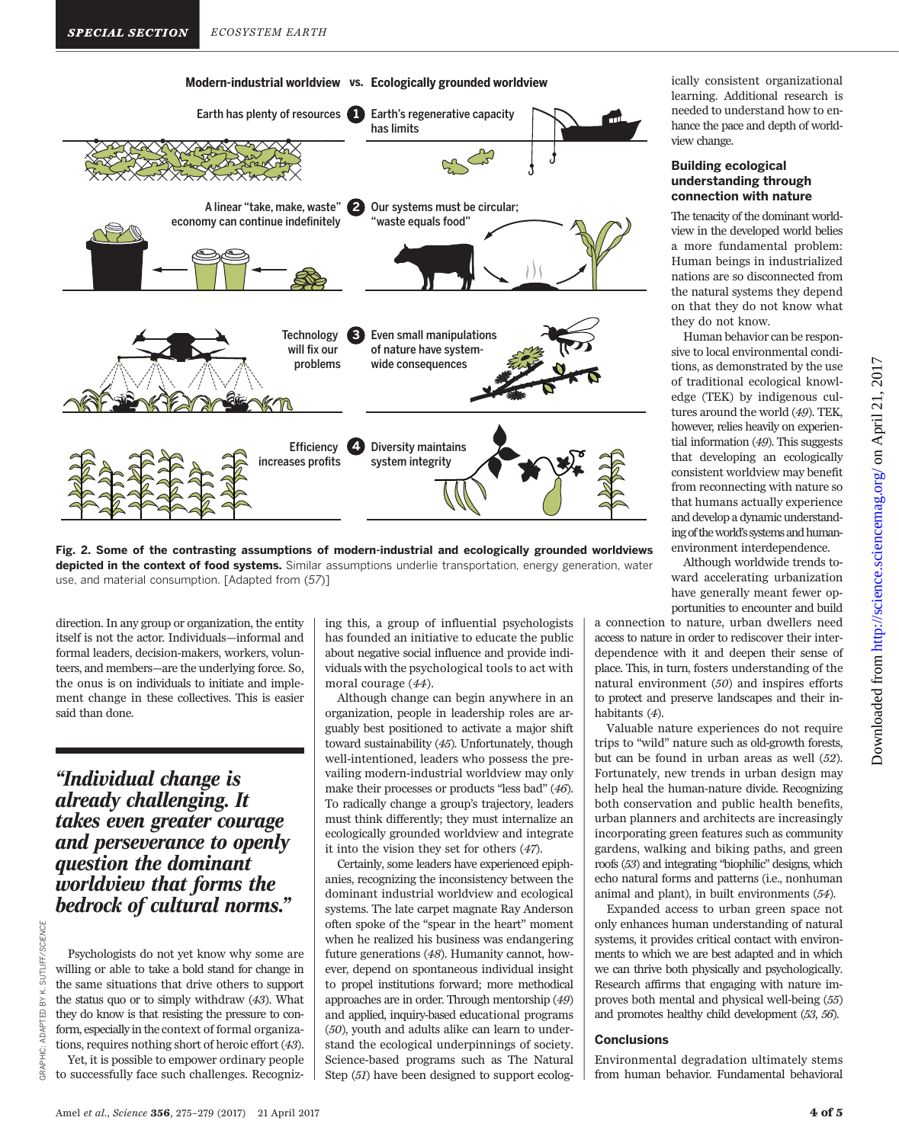

Fig. 2. Some of the contrasting assumptions of modern-industrial and ecologically grounded worldviews depicted in the context of food systems. Similar assumptions underlie transportation, energy generation, water use, and material consumption. [Adapted from (57)]

direction. In any group or organization, the entity itself is not the actor. Individuals—informal and formal leaders, decision-makers, workers, volunteers, and members—are the underlying force. So, the onus is on individuals to initiate and implement change in these collectives. This is easier said than done.

"Individual change is already challenging. It takes even greater courage and perseverance to openly question the dominant worldview that forms the bedrock of cultural norms."

Psychologists do not yet know why some are willing or able to take a bold stand for change in the same situations that drive others to support the status quo or to simply withdraw (43). What they do know is that resisting the pressure to conform, especially in the context of formal organizations, requires nothing short of heroic effort (43).

Yet, it is possible to empower ordinary people to successfully face such challenges. Recognizing this, a group of influential psychologists has founded an initiative to educate the public about negative social influence and provide individuals with the psychological tools to act with moral courage (44).

Although change can begin anywhere in an organization, people in leadership roles are arguably best positioned to activate a major shift toward sustainability (45). Unfortunately, though well-intentioned, leaders who possess the prevailing modern-industrial worldview may only make their processes or products "less bad" (46). To radically change a group's trajectory, leaders must think differently; they must internalize an ecologically grounded worldview and integrate it into the vision they set for others (47).

Certainly, some leaders have experienced epiphanies, recognizing the inconsistency between the dominant industrial worldview and ecological systems. The late carpet magnate Ray Anderson often spoke of the "spear in the heart" moment when he realized his business was endangering future generations (48). Humanity cannot, however, depend on spontaneous individual insight to propel institutions forward; more methodical approaches are in order. Through mentorship (49) and applied, inquiry-based educational programs (50), youth and adults alike can learn to understand the ecological underpinnings of society. Science-based programs such as The Natural Step (51) have been designed to support ecologically consistent organizational learning. Additional research is needed to understand how to enhance the pace and depth of worldview change.

## Building ecological understanding through connection with nature

The tenacity of the dominant worldview in the developed world belies a more fundamental problem: Human beings in industrialized nations are so disconnected from the natural systems they depend on that they do not know what they do not know.

Human behavior can be responsive to local environmental conditions, as demonstrated by the use of traditional ecological knowledge (TEK) by indigenous cultures around the world (49). TEK, however, relies heavily on experiential information (49). This suggests that developing an ecologically consistent worldview may benefit from reconnecting with nature so that humans actually experience and develop a dynamic understanding of the world's systems and humanenvironment interdependence.

Although worldwide trends toward accelerating urbanization have generally meant fewer opportunities to encounter and build

a connection to nature, urban dwellers need access to nature in order to rediscover their interdependence with it and deepen their sense of place. This, in turn, fosters understanding of the natural environment (50) and inspires efforts to protect and preserve landscapes and their inhabitants (4).

Valuable nature experiences do not require trips to "wild" nature such as old-growth forests, but can be found in urban areas as well (52). Fortunately, new trends in urban design may help heal the human-nature divide. Recognizing both conservation and public health benefits, urban planners and architects are increasingly incorporating green features such as community gardens, walking and biking paths, and green roofs (53) and integrating "biophilic" designs, which echo natural forms and patterns (i.e., nonhuman animal and plant), in built environments (54).

Expanded access to urban green space not only enhances human understanding of natural systems, it provides critical contact with environments to which we are best adapted and in which we can thrive both physically and psychologically. Research affirms that engaging with nature improves both mental and physical well-being (55) and promotes healthy child development (53, 56).

# Conclusions

Environmental degradation ultimately stems from human behavior. Fundamental behavioral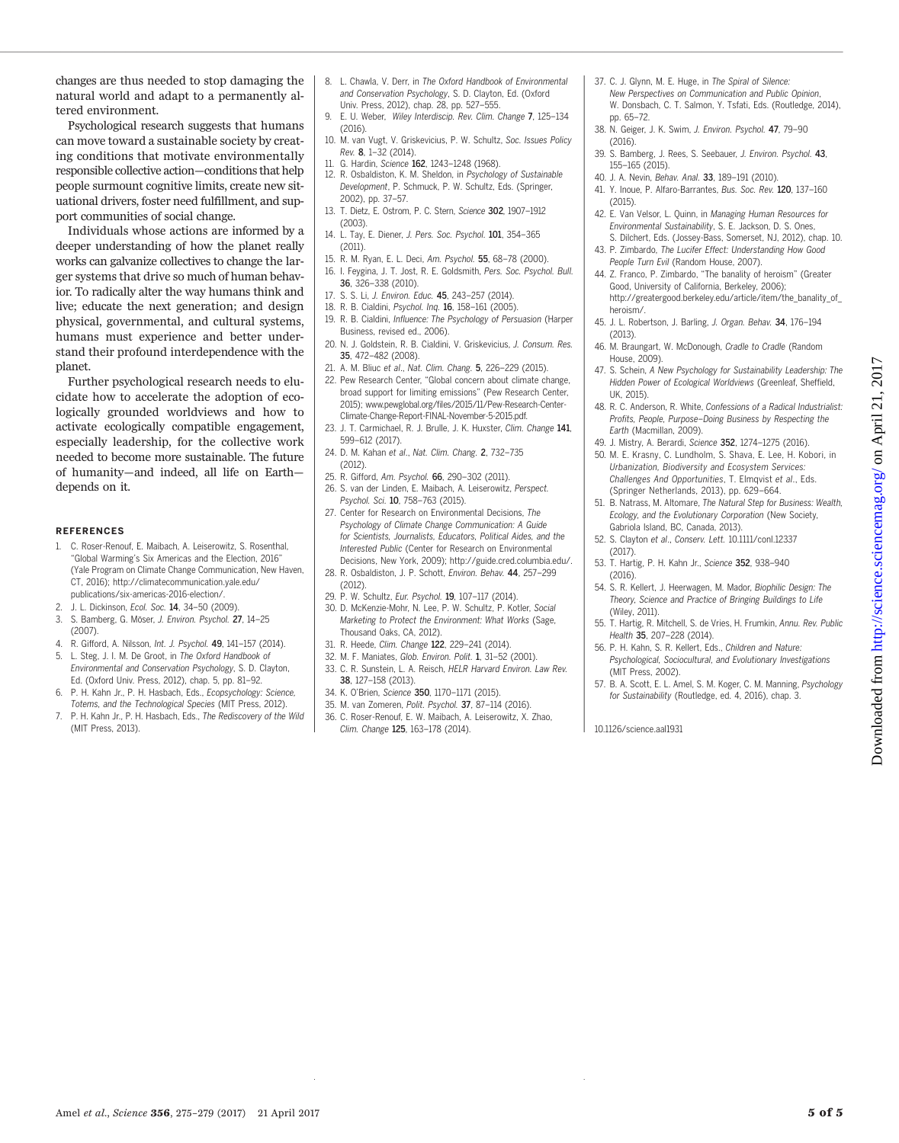changes are thus needed to stop damaging the natural world and adapt to a permanently altered environment.

Psychological research suggests that humans can move toward a sustainable society by creating conditions that motivate environmentally responsible collective action—conditions that help people surmount cognitive limits, create new situational drivers, foster need fulfillment, and support communities of social change.

Individuals whose actions are informed by a deeper understanding of how the planet really works can galvanize collectives to change the larger systems that drive so much of human behavior. To radically alter the way humans think and live; educate the next generation; and design physical, governmental, and cultural systems, humans must experience and better understand their profound interdependence with the planet.

Further psychological research needs to elucidate how to accelerate the adoption of ecologically grounded worldviews and how to activate ecologically compatible engagement, especially leadership, for the collective work needed to become more sustainable. The future of humanity—and indeed, all life on Earth depends on it.

#### **REFERENCES**

- 1. C. Roser-Renouf, E. Maibach, A. Leiserowitz, S. Rosenthal, "Global Warming's Six Americas and the Election, 2016" (Yale Program on Climate Change Communication, New Haven, CT, 2016); [http://climatecommunication.yale.edu/](http://climatecommunication.yale.edu/publications/six-americas-2016-election/) [publications/six-americas-2016-election/.](http://climatecommunication.yale.edu/publications/six-americas-2016-election/)
- 2. J. L. Dickinson, Ecol. Soc. 14, 34–50 (2009).
- 3. S. Bamberg, G. Möser, J. Environ. Psychol. 27, 14–25 (2007).
- 4. R. Gifford, A. Nilsson, Int. J. Psychol. 49, 141–157 (2014).
- 5. L. Steg, J. I. M. De Groot, in The Oxford Handbook of Environmental and Conservation Psychology, S. D. Clayton, Ed. (Oxford Univ. Press, 2012), chap. 5, pp. 81–92.
- P. H. Kahn Jr., P. H. Hasbach, Eds., Ecopsychology: Science, Totems, and the Technological Species (MIT Press, 2012).
- 7. P. H. Kahn Jr., P. H. Hasbach, Eds., The Rediscovery of the Wild (MIT Press, 2013).
- 8. L. Chawla, V. Derr, in The Oxford Handbook of Environmental and Conservation Psychology, S. D. Clayton, Ed. (Oxford Univ. Press, 2012), chap. 28, pp. 527–555.
- 9. E. U. Weber, Wiley Interdiscip. Rev. Clim. Change 7, 125–134 (2016).
- 10. M. van Vugt, V. Griskevicius, P. W. Schultz, Soc. Issues Policy Rev. 8, 1–32 (2014).
- 11. G. Hardin, Science 162, 1243–1248 (1968).
- 12. R. Osbaldiston, K. M. Sheldon, in Psychology of Sustainable Development, P. Schmuck, P. W. Schultz, Eds. (Springer, 2002), pp. 37–57.
- 13. T. Dietz, E. Ostrom, P. C. Stern, Science 302, 1907–1912  $(2003)$
- 14. L. Tay, E. Diener, J. Pers. Soc. Psychol. 101, 354–365
- (2011). 15. R. M. Ryan, E. L. Deci, Am. Psychol. 55, 68–78 (2000).
- 16. I. Feygina, J. T. Jost, R. E. Goldsmith, Pers. Soc. Psychol. Bull. 36, 326–338 (2010).
- 17. S. S. Li, J. Environ. Educ. 45, 243–257 (2014).
- 18. R. B. Cialdini, Psychol. Inq. 16, 158–161 (2005).
- 19. R. B. Cialdini, Influence: The Psychology of Persuasion (Harper Business, revised ed., 2006).
- 20. N. J. Goldstein, R. B. Cialdini, V. Griskevicius, J. Consum. Res. 35, 472–482 (2008).
- 21. A. M. Bliuc et al., Nat. Clim. Chang. 5, 226–229 (2015).
- 22. Pew Research Center, "Global concern about climate change, broad support for limiting emissions" (Pew Research Center, 2015); [www.pewglobal.org/files/2015/11/Pew-Research-Center-](http://www.pewglobal.org/files/2015/11/Pew-Research-Center-Climate-Change-Report-FINAL-November-5-2015.pdf)[Climate-Change-Report-FINAL-November-5-2015.pdf.](http://www.pewglobal.org/files/2015/11/Pew-Research-Center-Climate-Change-Report-FINAL-November-5-2015.pdf)
- 23. J. T. Carmichael, R. J. Brulle, J. K. Huxster, Clim. Change 141, 599–612 (2017).
- 24. D. M. Kahan et al., Nat. Clim. Chang. 2, 732–735 (2012).
- 25. R. Gifford, Am. Psychol. 66, 290–302 (2011).
- 26. S. van der Linden, E. Maibach, A. Leiserowitz, Perspect. Psychol. Sci. 10, 758–763 (2015).
- 27. Center for Research on Environmental Decisions, The Psychology of Climate Change Communication: A Guide for Scientists, Journalists, Educators, Political Aides, and the Interested Public (Center for Research on Environmental Decisions, New York, 2009); [http://guide.cred.columbia.edu/.](http://guide.cred.columbia.edu/)
- 28. R. Osbaldiston, J. P. Schott, Environ. Behav. 44, 257–299 (2012).
- 29. P. W. Schultz, Eur. Psychol. 19, 107–117 (2014).
- 30. D. McKenzie-Mohr, N. Lee, P. W. Schultz, P. Kotler, Social Marketing to Protect the Environment: What Works (Sage, Thousand Oaks, CA, 2012).
- 31. R. Heede, Clim. Change 122, 229–241 (2014).
- 32. M. F. Maniates, Glob. Environ. Polit. 1, 31–52 (2001).
- 33. C. R. Sunstein, L. A. Reisch, HELR Harvard Environ. Law Rev. 38, 127–158 (2013).
- 34. K. O'Brien, Science 350, 1170–1171 (2015).
- 35. M. van Zomeren, Polit. Psychol. 37, 87–114 (2016). 36. C. Roser-Renouf, E. W. Maibach, A. Leiserowitz, X. Zhao,
- Clim. Change 125, 163–178 (2014).
- 37. C. J. Glynn, M. E. Huge, in The Spiral of Silence:
- New Perspectives on Communication and Public Opinion, W. Donsbach, C. T. Salmon, Y. Tsfati, Eds. (Routledge, 2014), pp. 65–72.
- 38. N. Geiger, J. K. Swim, J. Environ. Psychol. 47, 79–90 (2016).
- 39. S. Bamberg, J. Rees, S. Seebauer, J. Environ. Psychol. 43, 155–165 (2015).
- 40. J. A. Nevin, Behav. Anal. 33, 189-191 (2010).
- 41. Y. Inoue, P. Alfaro-Barrantes, Bus. Soc. Rev. 120, 137–160 (2015).
- 42. E. Van Velsor, L. Quinn, in Managing Human Resources for Environmental Sustainability, S. E. Jackson, D. S. Ones, S. Dilchert, Eds. (Jossey-Bass, Somerset, NJ, 2012), chap. 10.
- 43. P. Zimbardo, The Lucifer Effect: Understanding How Good People Turn Evil (Random House, 2007).
- 44. Z. Franco, P. Zimbardo, "The banality of heroism" (Greater Good, University of California, Berkeley, 2006); [http://greatergood.berkeley.edu/article/item/the\\_banality\\_of\\_](http://greatergood.berkeley.edu/article/item/the_banality_of_heroism/) [heroism/.](http://greatergood.berkeley.edu/article/item/the_banality_of_heroism/)
- 45. J. L. Robertson, J. Barling, J. Organ. Behav. 34, 176–194 (2013).
- 46. M. Braungart, W. McDonough, Cradle to Cradle (Random House, 2009).
- 47. S. Schein, A New Psychology for Sustainability Leadership: The Hidden Power of Ecological Worldviews (Greenleaf, Sheffield, UK, 2015).
- 48. R. C. Anderson, R. White, Confessions of a Radical Industrialist: Profits, People, Purpose–Doing Business by Respecting the Earth (Macmillan, 2009).
- 49. J. Mistry, A. Berardi, Science 352, 1274–1275 (2016).
- 50. M. E. Krasny, C. Lundholm, S. Shava, E. Lee, H. Kobori, in Urbanization, Biodiversity and Ecosystem Services: Challenges And Opportunities, T. Elmqvist et al., Eds. (Springer Netherlands, 2013), pp. 629–664.
- 51. B. Natrass, M. Altomare, The Natural Step for Business: Wealth, Ecology, and the Evolutionary Corporation (New Society, Gabriola Island, BC, Canada, 2013).
- 52. S. Clayton et al., Conserv. Lett. 10.1111/conl.12337 (2017).
- 53. T. Hartig, P. H. Kahn Jr., Science 352, 938–940 (2016).
- 54. S. R. Kellert, J. Heerwagen, M. Mador, Biophilic Design: The Theory, Science and Practice of Bringing Buildings to Life (Wiley, 2011).
- 55. T. Hartig, R. Mitchell, S. de Vries, H. Frumkin, Annu. Rev. Public Health 35, 207–228 (2014).
- 56. P. H. Kahn, S. R. Kellert, Eds., Children and Nature: Psychological, Sociocultural, and Evolutionary Investigations (MIT Press, 2002).
- 57. B. A. Scott, E. L. Amel, S. M. Koger, C. M. Manning, Psychology for Sustainability (Routledge, ed. 4, 2016), chap. 3.

10.1126/science.aal1931